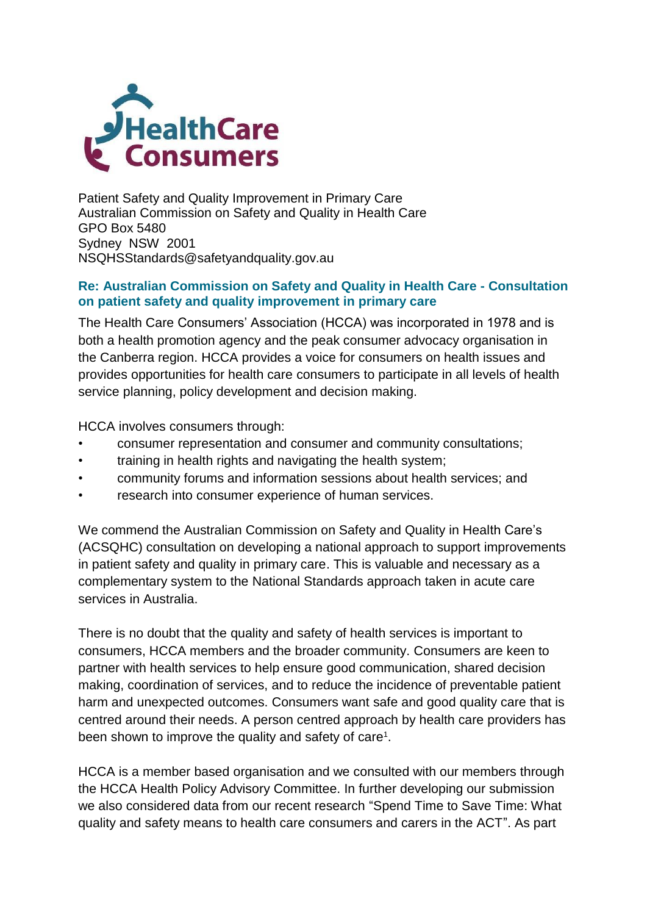

Patient Safety and Quality Improvement in Primary Care Australian Commission on Safety and Quality in Health Care GPO Box 5480 Sydney NSW 2001 [NSQHSStandards@safetyandquality.gov.au](mailto:NSQHSStandards@safetyandquality.gov.au)

#### **Re: Australian Commission on Safety and Quality in Health Care - Consultation on patient safety and quality improvement in primary care**

The Health Care Consumers' Association (HCCA) was incorporated in 1978 and is both a health promotion agency and the peak consumer advocacy organisation in the Canberra region. HCCA provides a voice for consumers on health issues and provides opportunities for health care consumers to participate in all levels of health service planning, policy development and decision making.

HCCA involves consumers through:

- consumer representation and consumer and community consultations;
- training in health rights and navigating the health system;
- community forums and information sessions about health services; and
- research into consumer experience of human services.

We commend the Australian Commission on Safety and Quality in Health Care's (ACSQHC) consultation on developing a national approach to support improvements in patient safety and quality in primary care. This is valuable and necessary as a complementary system to the National Standards approach taken in acute care services in Australia.

There is no doubt that the quality and safety of health services is important to consumers, HCCA members and the broader community. Consumers are keen to partner with health services to help ensure good communication, shared decision making, coordination of services, and to reduce the incidence of preventable patient harm and unexpected outcomes. Consumers want safe and good quality care that is centred around their needs. A person centred approach by health care providers has been shown to improve the quality and safety of care<sup>1</sup>.

HCCA is a member based organisation and we consulted with our members through the HCCA Health Policy Advisory Committee. In further developing our submission we also considered data from our recent research "Spend Time to Save Time: What quality and safety means to health care consumers and carers in the ACT". As part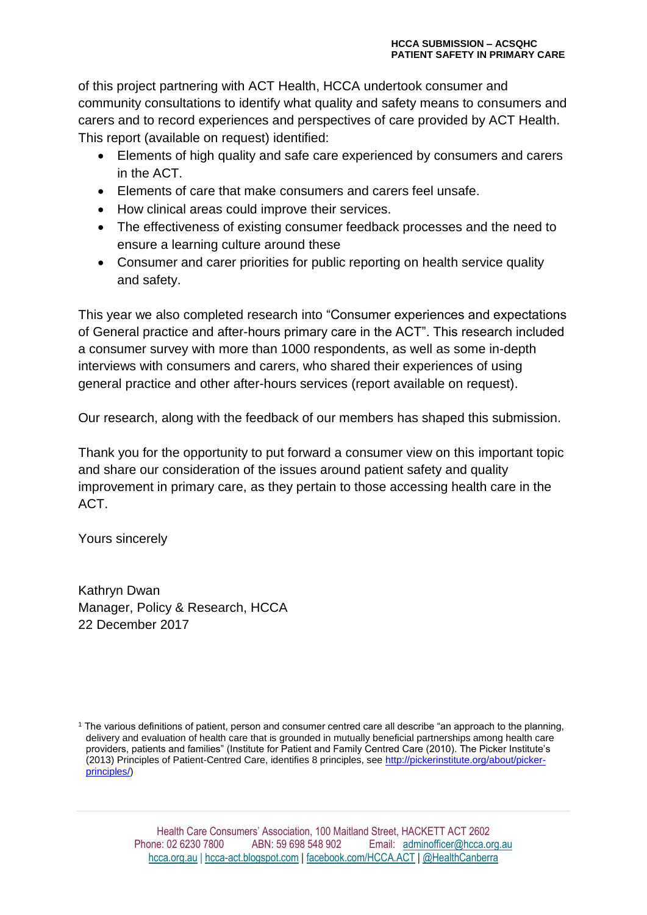of this project partnering with ACT Health, HCCA undertook consumer and community consultations to identify what quality and safety means to consumers and carers and to record experiences and perspectives of care provided by ACT Health. This report (available on request) identified:

- Elements of high quality and safe care experienced by consumers and carers in the ACT.
- Elements of care that make consumers and carers feel unsafe.
- How clinical areas could improve their services.
- The effectiveness of existing consumer feedback processes and the need to ensure a learning culture around these
- Consumer and carer priorities for public reporting on health service quality and safety.

This year we also completed research into "Consumer experiences and expectations of General practice and after-hours primary care in the ACT". This research included a consumer survey with more than 1000 respondents, as well as some in-depth interviews with consumers and carers, who shared their experiences of using general practice and other after-hours services (report available on request).

Our research, along with the feedback of our members has shaped this submission.

Thank you for the opportunity to put forward a consumer view on this important topic and share our consideration of the issues around patient safety and quality improvement in primary care, as they pertain to those accessing health care in the ACT.

Yours sincerely

Kathryn Dwan Manager, Policy & Research, HCCA 22 December 2017

<sup>1</sup> The various definitions of patient, person and consumer centred care all describe "an approach to the planning, delivery and evaluation of health care that is grounded in mutually beneficial partnerships among health care providers, patients and families" (Institute for Patient and Family Centred Care (2010). The Picker Institute's (2013) Principles of Patient-Centred Care, identifies 8 principles, se[e http://pickerinstitute.org/about/picker](http://pickerinstitute.org/about/picker-principles/)[principles/\)](http://pickerinstitute.org/about/picker-principles/)

> Health Care Consumers' Association, 100 Maitland Street, HACKETT ACT 2602 Phone: 02 6230 7800 ABN: 59 698 548 902 Email: [adminofficer@hcca.org.au](mailto:adminofficer@hcca.org.au)  [hcca.org.au](http://www.hcca.org.au/) | [hcca-act.blogspot.com](http://hcca-act.blogspot.com/) | [facebook.com/HCCA.ACT](http://www.facebook.com/HCCA.ACT) | [@HealthCanberra](http://twitter.com/healthcanberra)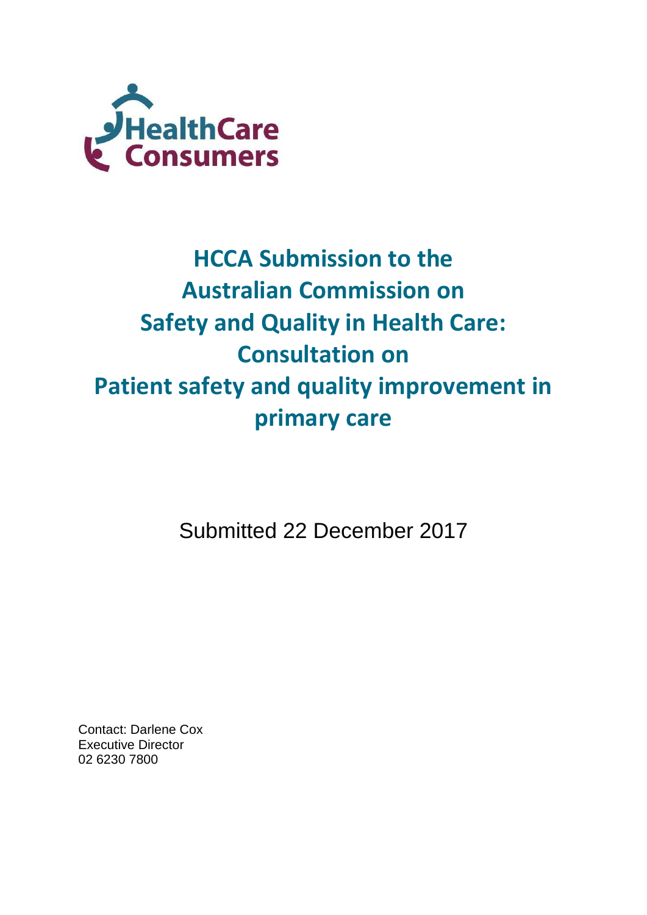

# **HCCA Submission to the Australian Commission on Safety and Quality in Health Care: Consultation on Patient safety and quality improvement in primary care**

Submitted 22 December 2017

Contact: Darlene Cox Executive Director 02 6230 7800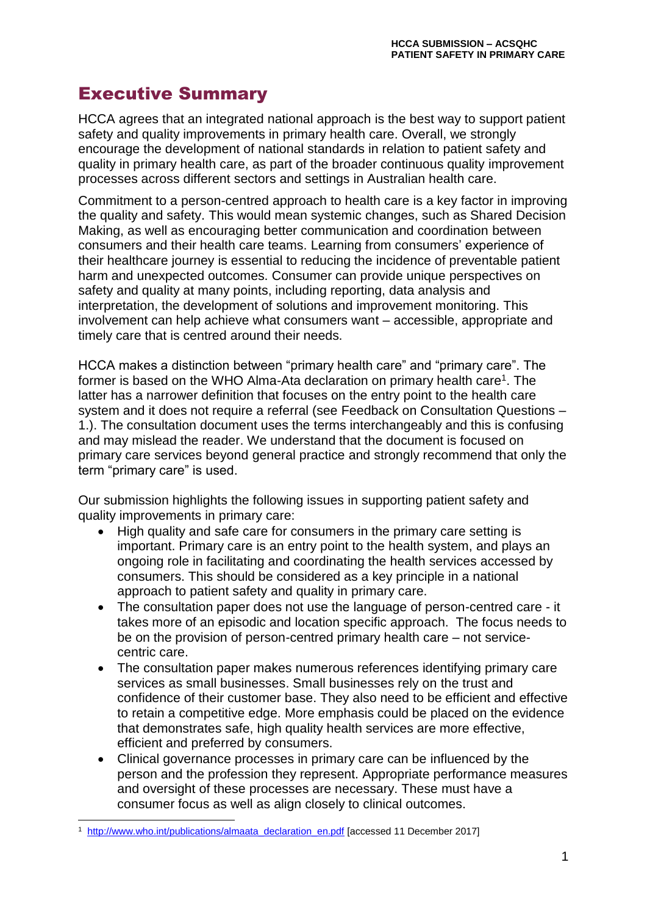# Executive Summary

HCCA agrees that an integrated national approach is the best way to support patient safety and quality improvements in primary health care. Overall, we strongly encourage the development of national standards in relation to patient safety and quality in primary health care, as part of the broader continuous quality improvement processes across different sectors and settings in Australian health care.

Commitment to a person-centred approach to health care is a key factor in improving the quality and safety. This would mean systemic changes, such as Shared Decision Making, as well as encouraging better communication and coordination between consumers and their health care teams. Learning from consumers' experience of their healthcare journey is essential to reducing the incidence of preventable patient harm and unexpected outcomes. Consumer can provide unique perspectives on safety and quality at many points, including reporting, data analysis and interpretation, the development of solutions and improvement monitoring. This involvement can help achieve what consumers want – accessible, appropriate and timely care that is centred around their needs.

HCCA makes a distinction between "primary health care" and "primary care". The former is based on the WHO Alma-Ata declaration on primary health care<sup>1</sup>. The latter has a narrower definition that focuses on the entry point to the health care system and it does not require a referral (see Feedback on Consultation Questions – 1.). The consultation document uses the terms interchangeably and this is confusing and may mislead the reader. We understand that the document is focused on primary care services beyond general practice and strongly recommend that only the term "primary care" is used.

Our submission highlights the following issues in supporting patient safety and quality improvements in primary care:

- High quality and safe care for consumers in the primary care setting is important. Primary care is an entry point to the health system, and plays an ongoing role in facilitating and coordinating the health services accessed by consumers. This should be considered as a key principle in a national approach to patient safety and quality in primary care.
- The consultation paper does not use the language of person-centred care it takes more of an episodic and location specific approach. The focus needs to be on the provision of person-centred primary health care – not servicecentric care.
- The consultation paper makes numerous references identifying primary care services as small businesses. Small businesses rely on the trust and confidence of their customer base. They also need to be efficient and effective to retain a competitive edge. More emphasis could be placed on the evidence that demonstrates safe, high quality health services are more effective, efficient and preferred by consumers.
- Clinical governance processes in primary care can be influenced by the person and the profession they represent. Appropriate performance measures and oversight of these processes are necessary. These must have a consumer focus as well as align closely to clinical outcomes.

-

<sup>&</sup>lt;sup>1</sup> [http://www.who.int/publications/almaata\\_declaration\\_en.pdf](http://www.who.int/publications/almaata_declaration_en.pdf) [accessed 11 December 2017]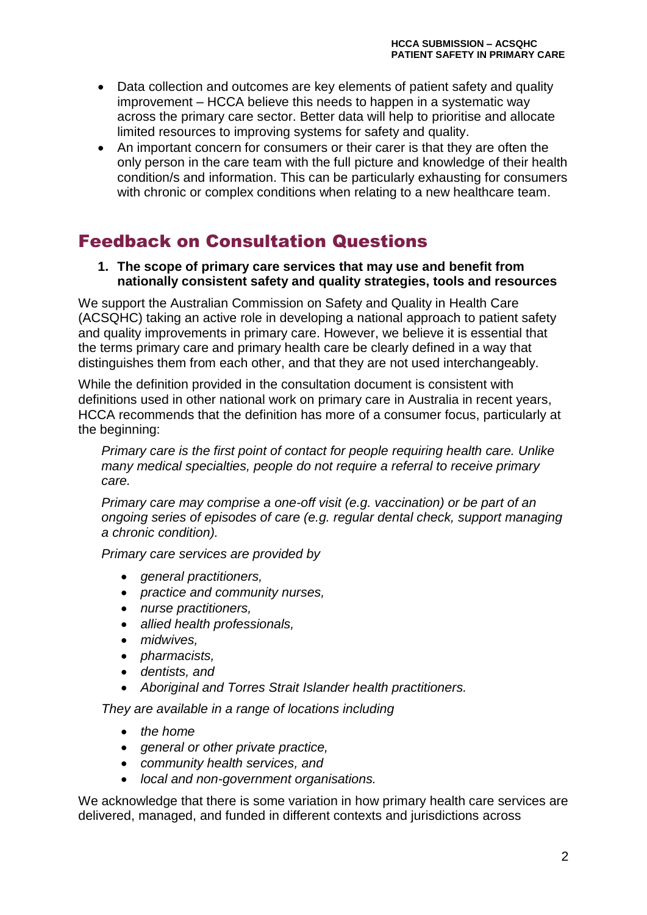- Data collection and outcomes are key elements of patient safety and quality improvement – HCCA believe this needs to happen in a systematic way across the primary care sector. Better data will help to prioritise and allocate limited resources to improving systems for safety and quality.
- An important concern for consumers or their carer is that they are often the only person in the care team with the full picture and knowledge of their health condition/s and information. This can be particularly exhausting for consumers with chronic or complex conditions when relating to a new healthcare team.

# Feedback on Consultation Questions

**1. The scope of primary care services that may use and benefit from nationally consistent safety and quality strategies, tools and resources**

We support the Australian Commission on Safety and Quality in Health Care (ACSQHC) taking an active role in developing a national approach to patient safety and quality improvements in primary care. However, we believe it is essential that the terms primary care and primary health care be clearly defined in a way that distinguishes them from each other, and that they are not used interchangeably.

While the definition provided in the consultation document is consistent with definitions used in other national work on primary care in Australia in recent years, HCCA recommends that the definition has more of a consumer focus, particularly at the beginning:

*Primary care is the first point of contact for people requiring health care. Unlike many medical specialties, people do not require a referral to receive primary care.* 

*Primary care may comprise a one-off visit (e.g. vaccination) or be part of an ongoing series of episodes of care (e.g. regular dental check, support managing a chronic condition).* 

*Primary care services are provided by* 

- *general practitioners,*
- *practice and community nurses,*
- *nurse practitioners,*
- *allied health professionals,*
- *midwives,*
- *pharmacists,*
- *dentists, and*
- *Aboriginal and Torres Strait Islander health practitioners.*

*They are available in a range of locations including*

- *the home*
- *general or other private practice,*
- *community health services, and*
- *local and non-government organisations.*

We acknowledge that there is some variation in how primary health care services are delivered, managed, and funded in different contexts and jurisdictions across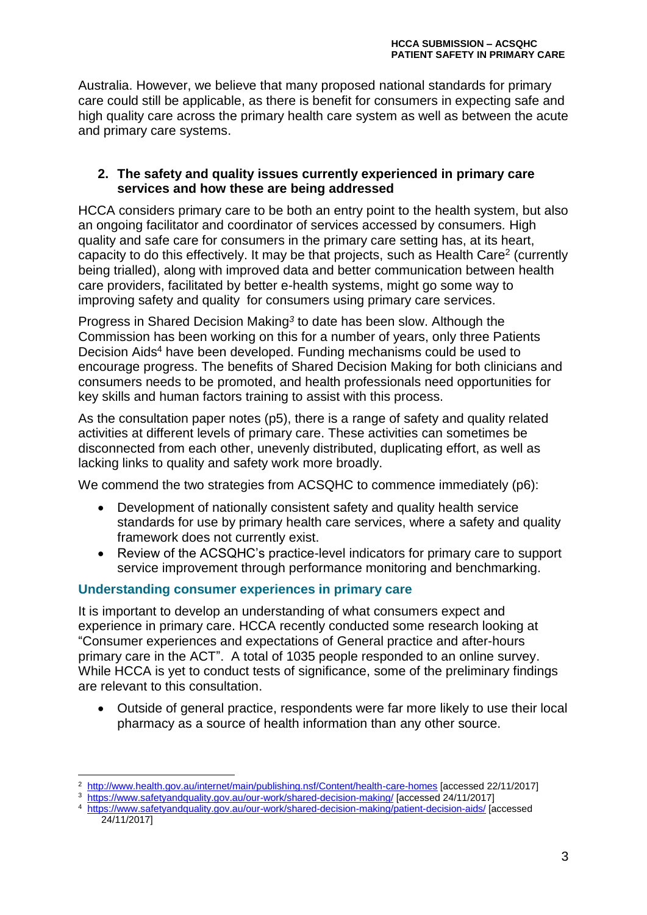Australia. However, we believe that many proposed national standards for primary care could still be applicable, as there is benefit for consumers in expecting safe and high quality care across the primary health care system as well as between the acute and primary care systems.

#### **2. The safety and quality issues currently experienced in primary care services and how these are being addressed**

HCCA considers primary care to be both an entry point to the health system, but also an ongoing facilitator and coordinator of services accessed by consumers*.* High quality and safe care for consumers in the primary care setting has, at its heart, capacity to do this effectively. It may be that projects, such as Health Care<sup>2</sup> (currently being trialled), along with improved data and better communication between health care providers, facilitated by better e-health systems, might go some way to improving safety and quality for consumers using primary care services.

Progress in Shared Decision Making*<sup>3</sup>* to date has been slow. Although the Commission has been working on this for a number of years, only three Patients Decision Aids<sup>4</sup> have been developed. Funding mechanisms could be used to encourage progress. The benefits of Shared Decision Making for both clinicians and consumers needs to be promoted, and health professionals need opportunities for key skills and human factors training to assist with this process.

As the consultation paper notes (p5), there is a range of safety and quality related activities at different levels of primary care. These activities can sometimes be disconnected from each other, unevenly distributed, duplicating effort, as well as lacking links to quality and safety work more broadly.

We commend the two strategies from ACSQHC to commence immediately (p6):

- Development of nationally consistent safety and quality health service standards for use by primary health care services, where a safety and quality framework does not currently exist.
- Review of the ACSQHC's practice-level indicators for primary care to support service improvement through performance monitoring and benchmarking.

#### **Understanding consumer experiences in primary care**

It is important to develop an understanding of what consumers expect and experience in primary care. HCCA recently conducted some research looking at "Consumer experiences and expectations of General practice and after-hours primary care in the ACT". A total of 1035 people responded to an online survey. While HCCA is yet to conduct tests of significance, some of the preliminary findings are relevant to this consultation.

 Outside of general practice, respondents were far more likely to use their local pharmacy as a source of health information than any other source.

<sup>2</sup> <http://www.health.gov.au/internet/main/publishing.nsf/Content/health-care-homes> [accessed 22/11/2017]

<sup>3</sup> <https://www.safetyandquality.gov.au/our-work/shared-decision-making/> [accessed 24/11/2017]

<sup>4</sup> <https://www.safetyandquality.gov.au/our-work/shared-decision-making/patient-decision-aids/> [accessed 24/11/2017]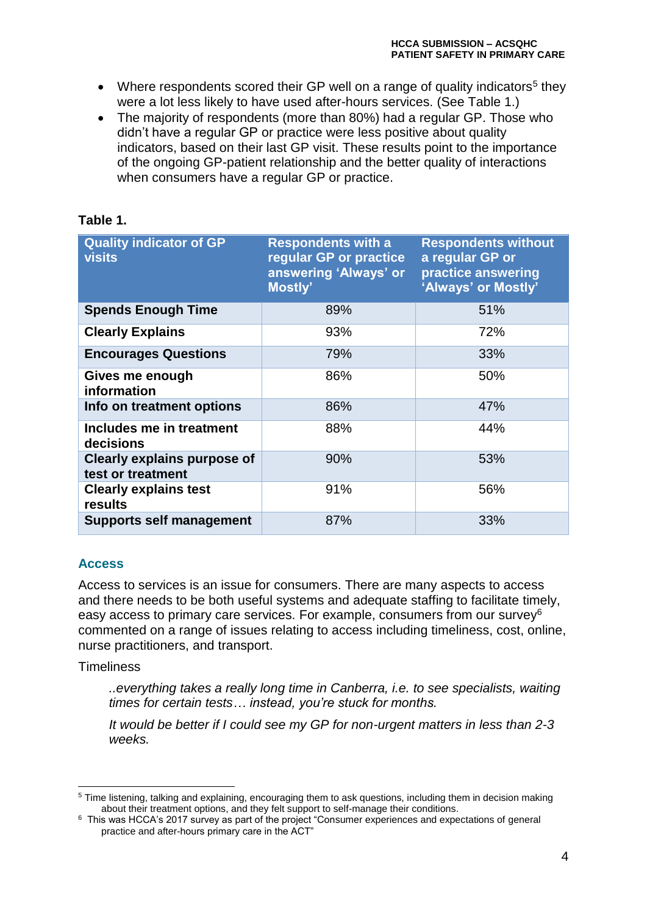- Where respondents scored their GP well on a range of quality indicators<sup>5</sup> they were a lot less likely to have used after-hours services. (See Table 1.)
- The majority of respondents (more than 80%) had a regular GP. Those who didn't have a regular GP or practice were less positive about quality indicators, based on their last GP visit. These results point to the importance of the ongoing GP-patient relationship and the better quality of interactions when consumers have a regular GP or practice.

# **Table 1.**

| <b>Quality indicator of GP</b><br><b>visits</b>         | <b>Respondents with a</b><br>regular GP or practice<br>answering 'Always' or<br>Mostly' | <b>Respondents without</b><br>a regular GP or<br>practice answering<br>'Always' or Mostly' |
|---------------------------------------------------------|-----------------------------------------------------------------------------------------|--------------------------------------------------------------------------------------------|
| <b>Spends Enough Time</b>                               | 89%                                                                                     | 51%                                                                                        |
| <b>Clearly Explains</b>                                 | 93%                                                                                     | 72%                                                                                        |
| <b>Encourages Questions</b>                             | 79%                                                                                     | 33%                                                                                        |
| Gives me enough<br>information                          | 86%                                                                                     | 50%                                                                                        |
| Info on treatment options                               | 86%                                                                                     | 47%                                                                                        |
| Includes me in treatment<br>decisions                   | 88%                                                                                     | 44%                                                                                        |
| <b>Clearly explains purpose of</b><br>test or treatment | 90%                                                                                     | 53%                                                                                        |
| <b>Clearly explains test</b><br>results                 | 91%                                                                                     | 56%                                                                                        |
| <b>Supports self management</b>                         | 87%                                                                                     | 33%                                                                                        |

# **Access**

Access to services is an issue for consumers. There are many aspects to access and there needs to be both useful systems and adequate staffing to facilitate timely, easy access to primary care services. For example, consumers from our survey<sup>6</sup> commented on a range of issues relating to access including timeliness, cost, online, nurse practitioners, and transport.

**Timeliness** 

-

*..everything takes a really long time in Canberra, i.e. to see specialists, waiting times for certain tests… instead, you're stuck for months.*

*It would be better if I could see my GP for non-urgent matters in less than 2-3 weeks.*

<sup>5</sup> Time listening, talking and explaining, encouraging them to ask questions, including them in decision making about their treatment options, and they felt support to self-manage their conditions.

<sup>6</sup> This was HCCA's 2017 survey as part of the project "Consumer experiences and expectations of general practice and after-hours primary care in the ACT"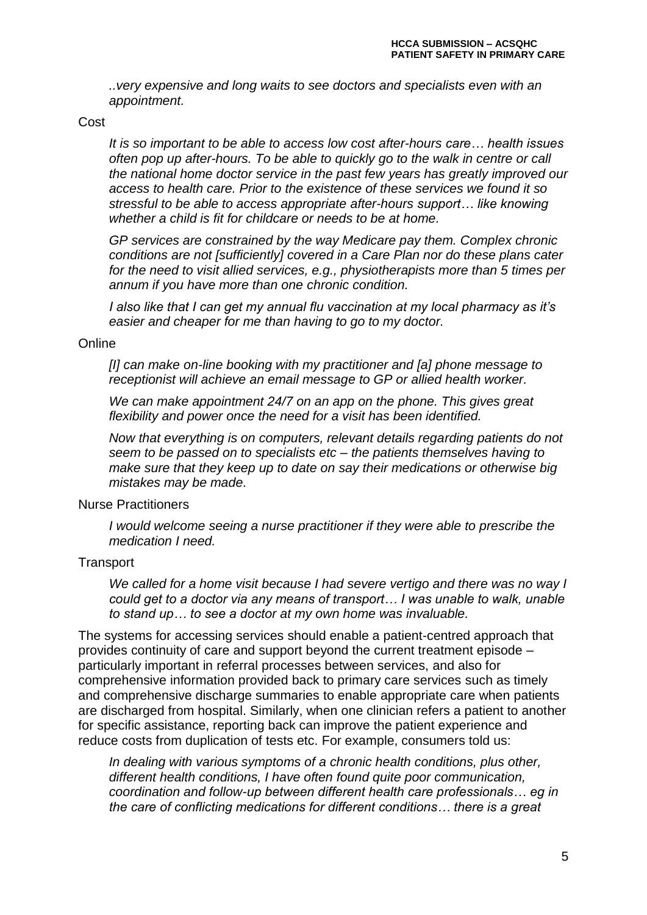*..very expensive and long waits to see doctors and specialists even with an appointment.*

Cost

*It is so important to be able to access low cost after-hours care… health issues often pop up after-hours. To be able to quickly go to the walk in centre or call the national home doctor service in the past few years has greatly improved our access to health care. Prior to the existence of these services we found it so stressful to be able to access appropriate after-hours support… like knowing whether a child is fit for childcare or needs to be at home.*

*GP services are constrained by the way Medicare pay them. Complex chronic conditions are not [sufficiently] covered in a Care Plan nor do these plans cater for the need to visit allied services, e.g., physiotherapists more than 5 times per annum if you have more than one chronic condition.*

*I also like that I can get my annual flu vaccination at my local pharmacy as it's easier and cheaper for me than having to go to my doctor.*

#### **Online**

*[I] can make on-line booking with my practitioner and [a] phone message to receptionist will achieve an email message to GP or allied health worker.*

*We can make appointment 24/7 on an app on the phone. This gives great flexibility and power once the need for a visit has been identified.*

*Now that everything is on computers, relevant details regarding patients do not seem to be passed on to specialists etc – the patients themselves having to make sure that they keep up to date on say their medications or otherwise big mistakes may be made.*

Nurse Practitioners

*I* would welcome seeing a nurse practitioner if they were able to prescribe the *medication I need.*

#### **Transport**

*We called for a home visit because I had severe vertigo and there was no way I could get to a doctor via any means of transport… I was unable to walk, unable to stand up… to see a doctor at my own home was invaluable.*

The systems for accessing services should enable a patient-centred approach that provides continuity of care and support beyond the current treatment episode – particularly important in referral processes between services, and also for comprehensive information provided back to primary care services such as timely and comprehensive discharge summaries to enable appropriate care when patients are discharged from hospital. Similarly, when one clinician refers a patient to another for specific assistance, reporting back can improve the patient experience and reduce costs from duplication of tests etc. For example, consumers told us:

*In dealing with various symptoms of a chronic health conditions, plus other, different health conditions, I have often found quite poor communication, coordination and follow-up between different health care professionals… eg in the care of conflicting medications for different conditions… there is a great*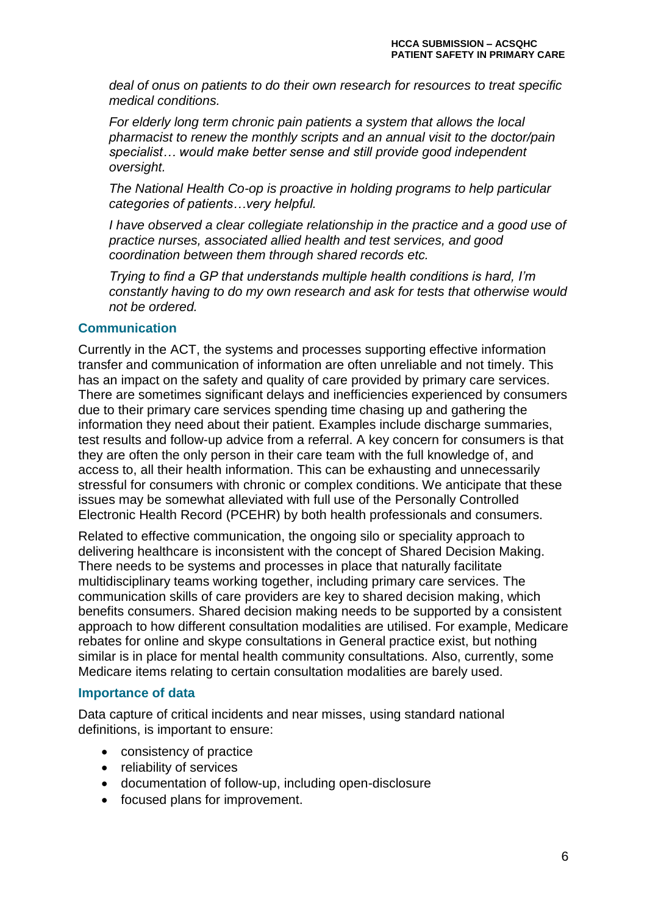*deal of onus on patients to do their own research for resources to treat specific medical conditions.*

*For elderly long term chronic pain patients a system that allows the local pharmacist to renew the monthly scripts and an annual visit to the doctor/pain specialist… would make better sense and still provide good independent oversight.*

*The National Health Co-op is proactive in holding programs to help particular categories of patients…very helpful.*

*I have observed a clear collegiate relationship in the practice and a good use of practice nurses, associated allied health and test services, and good coordination between them through shared records etc.*

*Trying to find a GP that understands multiple health conditions is hard, I'm constantly having to do my own research and ask for tests that otherwise would not be ordered.*

## **Communication**

Currently in the ACT, the systems and processes supporting effective information transfer and communication of information are often unreliable and not timely. This has an impact on the safety and quality of care provided by primary care services. There are sometimes significant delays and inefficiencies experienced by consumers due to their primary care services spending time chasing up and gathering the information they need about their patient. Examples include discharge summaries, test results and follow-up advice from a referral. A key concern for consumers is that they are often the only person in their care team with the full knowledge of, and access to, all their health information. This can be exhausting and unnecessarily stressful for consumers with chronic or complex conditions. We anticipate that these issues may be somewhat alleviated with full use of the Personally Controlled Electronic Health Record (PCEHR) by both health professionals and consumers.

Related to effective communication, the ongoing silo or speciality approach to delivering healthcare is inconsistent with the concept of Shared Decision Making. There needs to be systems and processes in place that naturally facilitate multidisciplinary teams working together, including primary care services. The communication skills of care providers are key to shared decision making, which benefits consumers. Shared decision making needs to be supported by a consistent approach to how different consultation modalities are utilised. For example, Medicare rebates for online and skype consultations in General practice exist, but nothing similar is in place for mental health community consultations. Also, currently, some Medicare items relating to certain consultation modalities are barely used.

#### **Importance of data**

Data capture of critical incidents and near misses, using standard national definitions, is important to ensure:

- consistency of practice
- reliability of services
- documentation of follow-up, including open-disclosure
- focused plans for improvement.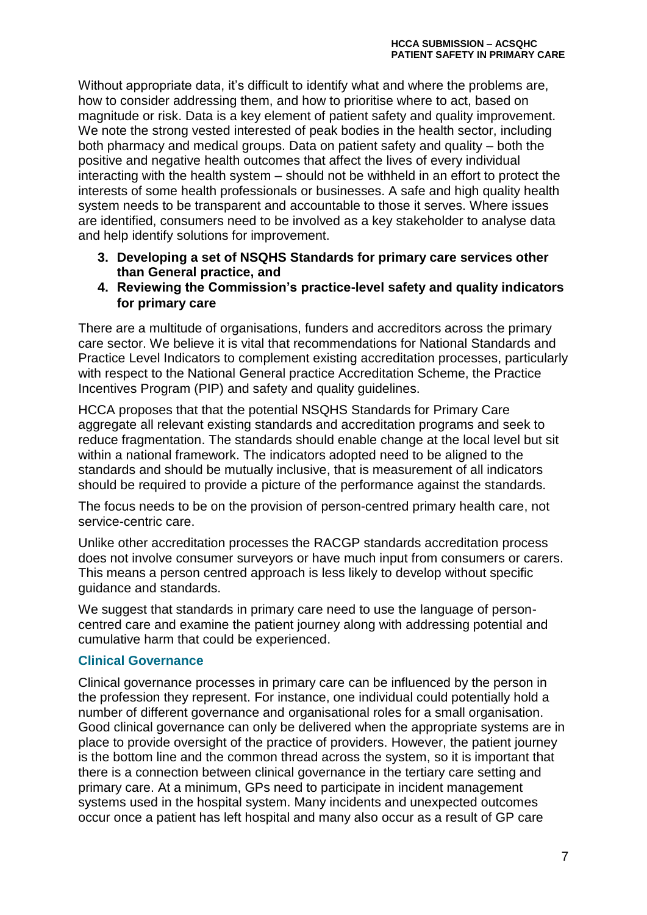Without appropriate data, it's difficult to identify what and where the problems are, how to consider addressing them, and how to prioritise where to act, based on magnitude or risk. Data is a key element of patient safety and quality improvement. We note the strong vested interested of peak bodies in the health sector, including both pharmacy and medical groups. Data on patient safety and quality – both the positive and negative health outcomes that affect the lives of every individual interacting with the health system – should not be withheld in an effort to protect the interests of some health professionals or businesses. A safe and high quality health system needs to be transparent and accountable to those it serves. Where issues are identified, consumers need to be involved as a key stakeholder to analyse data and help identify solutions for improvement.

- **3. Developing a set of NSQHS Standards for primary care services other than General practice, and**
- **4. Reviewing the Commission's practice-level safety and quality indicators for primary care**

There are a multitude of organisations, funders and accreditors across the primary care sector. We believe it is vital that recommendations for National Standards and Practice Level Indicators to complement existing accreditation processes, particularly with respect to the National General practice Accreditation Scheme, the Practice Incentives Program (PIP) and safety and quality guidelines.

HCCA proposes that that the potential NSQHS Standards for Primary Care aggregate all relevant existing standards and accreditation programs and seek to reduce fragmentation. The standards should enable change at the local level but sit within a national framework. The indicators adopted need to be aligned to the standards and should be mutually inclusive, that is measurement of all indicators should be required to provide a picture of the performance against the standards.

The focus needs to be on the provision of person-centred primary health care, not service-centric care.

Unlike other accreditation processes the RACGP standards accreditation process does not involve consumer surveyors or have much input from consumers or carers. This means a person centred approach is less likely to develop without specific guidance and standards.

We suggest that standards in primary care need to use the language of personcentred care and examine the patient journey along with addressing potential and cumulative harm that could be experienced.

# **Clinical Governance**

Clinical governance processes in primary care can be influenced by the person in the profession they represent. For instance, one individual could potentially hold a number of different governance and organisational roles for a small organisation. Good clinical governance can only be delivered when the appropriate systems are in place to provide oversight of the practice of providers. However, the patient journey is the bottom line and the common thread across the system, so it is important that there is a connection between clinical governance in the tertiary care setting and primary care. At a minimum, GPs need to participate in incident management systems used in the hospital system. Many incidents and unexpected outcomes occur once a patient has left hospital and many also occur as a result of GP care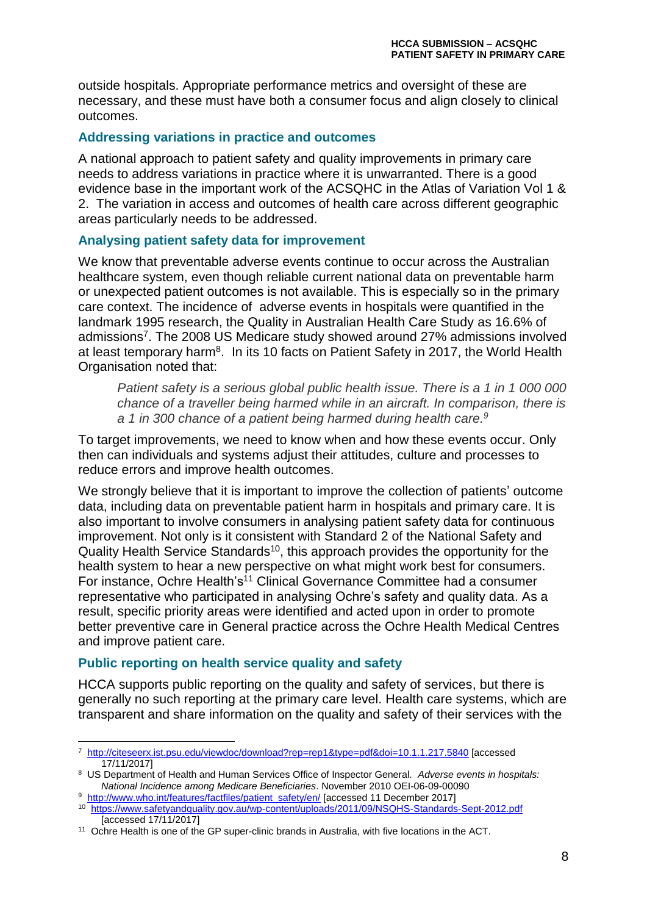outside hospitals. Appropriate performance metrics and oversight of these are necessary, and these must have both a consumer focus and align closely to clinical outcomes.

#### **Addressing variations in practice and outcomes**

A national approach to patient safety and quality improvements in primary care needs to address variations in practice where it is unwarranted. There is a good evidence base in the important work of the ACSQHC in the Atlas of Variation Vol 1 & 2. The variation in access and outcomes of health care across different geographic areas particularly needs to be addressed.

## **Analysing patient safety data for improvement**

We know that preventable adverse events continue to occur across the Australian healthcare system, even though reliable current national data on preventable harm or unexpected patient outcomes is not available. This is especially so in the primary care context. The incidence of adverse events in hospitals were quantified in the landmark 1995 research, the Quality in Australian Health Care Study as 16.6% of admissions<sup>7</sup>. The 2008 US Medicare study showed around 27% admissions involved at least temporary harm<sup>8</sup>. In its 10 facts on Patient Safety in 2017, the World Health Organisation noted that:

*Patient safety is a serious global public health issue. There is a 1 in 1 000 000 chance of a traveller being harmed while in an aircraft. In comparison, there is a 1 in 300 chance of a patient being harmed during health care.<sup>9</sup>*

To target improvements, we need to know when and how these events occur. Only then can individuals and systems adjust their attitudes, culture and processes to reduce errors and improve health outcomes.

We strongly believe that it is important to improve the collection of patients' outcome data, including data on preventable patient harm in hospitals and primary care. It is also important to involve consumers in analysing patient safety data for continuous improvement. Not only is it consistent with Standard 2 of the National Safety and Quality Health Service Standards<sup>10</sup>, this approach provides the opportunity for the health system to hear a new perspective on what might work best for consumers. For instance, Ochre Health's<sup>11</sup> Clinical Governance Committee had a consumer representative who participated in analysing Ochre's safety and quality data. As a result, specific priority areas were identified and acted upon in order to promote better preventive care in General practice across the Ochre Health Medical Centres and improve patient care.

# **Public reporting on health service quality and safety**

-

HCCA supports public reporting on the quality and safety of services, but there is generally no such reporting at the primary care level. Health care systems, which are transparent and share information on the quality and safety of their services with the

<sup>7</sup> <http://citeseerx.ist.psu.edu/viewdoc/download?rep=rep1&type=pdf&doi=10.1.1.217.5840> [accessed 17/11/2017]

<sup>8</sup> US Department of Health and Human Services Office of Inspector General. *Adverse events in hospitals: National Incidence among Medicare Beneficiaries*. November 2010 OEI-06-09-00090

<sup>&</sup>lt;sup>9</sup> [http://www.who.int/features/factfiles/patient\\_safety/en/](http://www.who.int/features/factfiles/patient_safety/en/) [accessed 11 December 2017] <sup>10</sup> <https://www.safetyandquality.gov.au/wp-content/uploads/2011/09/NSQHS-Standards-Sept-2012.pdf> [accessed 17/11/2017]

<sup>&</sup>lt;sup>11</sup> Ochre Health is one of the GP super-clinic brands in Australia, with five locations in the ACT.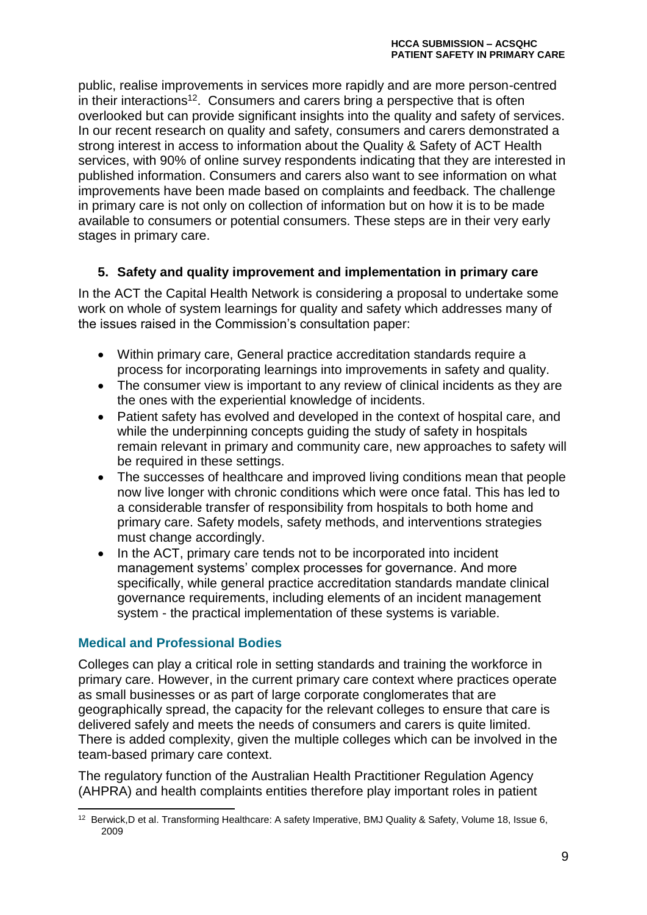public, realise improvements in services more rapidly and are more person-centred in their interactions<sup>12</sup>. Consumers and carers bring a perspective that is often overlooked but can provide significant insights into the quality and safety of services. In our recent research on quality and safety, consumers and carers demonstrated a strong interest in access to information about the Quality & Safety of ACT Health services, with 90% of online survey respondents indicating that they are interested in published information. Consumers and carers also want to see information on what improvements have been made based on complaints and feedback. The challenge in primary care is not only on collection of information but on how it is to be made available to consumers or potential consumers. These steps are in their very early stages in primary care.

# **5. Safety and quality improvement and implementation in primary care**

In the ACT the Capital Health Network is considering a proposal to undertake some work on whole of system learnings for quality and safety which addresses many of the issues raised in the Commission's consultation paper:

- Within primary care, General practice accreditation standards require a process for incorporating learnings into improvements in safety and quality.
- The consumer view is important to any review of clinical incidents as they are the ones with the experiential knowledge of incidents.
- Patient safety has evolved and developed in the context of hospital care, and while the underpinning concepts guiding the study of safety in hospitals remain relevant in primary and community care, new approaches to safety will be required in these settings.
- The successes of healthcare and improved living conditions mean that people now live longer with chronic conditions which were once fatal. This has led to a considerable transfer of responsibility from hospitals to both home and primary care. Safety models, safety methods, and interventions strategies must change accordingly.
- In the ACT, primary care tends not to be incorporated into incident management systems' complex processes for governance. And more specifically, while general practice accreditation standards mandate clinical governance requirements, including elements of an incident management system - the practical implementation of these systems is variable.

# **Medical and Professional Bodies**

Colleges can play a critical role in setting standards and training the workforce in primary care. However, in the current primary care context where practices operate as small businesses or as part of large corporate conglomerates that are geographically spread, the capacity for the relevant colleges to ensure that care is delivered safely and meets the needs of consumers and carers is quite limited. There is added complexity, given the multiple colleges which can be involved in the team-based primary care context.

The regulatory function of the Australian Health Practitioner Regulation Agency (AHPRA) and health complaints entities therefore play important roles in patient

 $\overline{a}$ <sup>12</sup> Berwick,D et al. Transforming Healthcare: A safety Imperative, BMJ Quality & Safety, Volume 18, Issue 6, 2009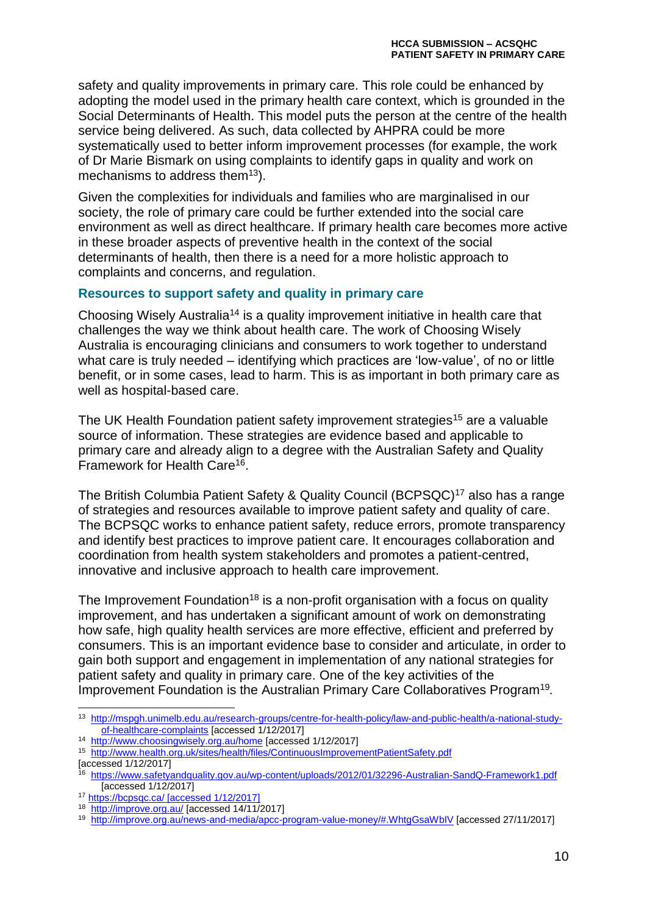safety and quality improvements in primary care. This role could be enhanced by adopting the model used in the primary health care context, which is grounded in the Social Determinants of Health. This model puts the person at the centre of the health service being delivered. As such, data collected by AHPRA could be more systematically used to better inform improvement processes (for example, the work of Dr Marie Bismark on using complaints to identify gaps in quality and work on mechanisms to address them $13$ ).

Given the complexities for individuals and families who are marginalised in our society, the role of primary care could be further extended into the social care environment as well as direct healthcare. If primary health care becomes more active in these broader aspects of preventive health in the context of the social determinants of health, then there is a need for a more holistic approach to complaints and concerns, and regulation.

#### **Resources to support safety and quality in primary care**

Choosing Wisely Australia<sup>14</sup> is a quality improvement initiative in health care that challenges the way we think about health care. The work of Choosing Wisely Australia is encouraging clinicians and consumers to work together to understand what care is truly needed – identifying which practices are 'low-value', of no or little benefit, or in some cases, lead to harm. This is as important in both primary care as well as hospital-based care.

The UK Health Foundation patient safety improvement strategies<sup>15</sup> are a valuable source of information. These strategies are evidence based and applicable to primary care and already align to a degree with the Australian Safety and Quality Framework for Health Care<sup>16</sup>.

The British Columbia Patient Safety & Quality Council (BCPSQC)<sup>17</sup> also has a range of strategies and resources available to improve patient safety and quality of care. The BCPSQC works to enhance patient safety, reduce errors, promote transparency and identify best practices to improve patient care. It encourages collaboration and coordination from health system stakeholders and promotes a patient-centred, innovative and inclusive approach to health care improvement.

The Improvement Foundation<sup>18</sup> is a non-profit organisation with a focus on quality improvement, and has undertaken a significant amount of work on demonstrating how safe, high quality health services are more effective, efficient and preferred by consumers. This is an important evidence base to consider and articulate, in order to gain both support and engagement in implementation of any national strategies for patient safety and quality in primary care. One of the key activities of the Improvement Foundation is the Australian Primary Care Collaboratives Program<sup>19</sup>.

<sup>-</sup><sup>13</sup> [http://mspgh.unimelb.edu.au/research-groups/centre-for-health-policy/law-and-public-health/a-national-study](http://mspgh.unimelb.edu.au/research-groups/centre-for-health-policy/law-and-public-health/a-national-study-of-healthcare-complaints)[of-healthcare-complaints](http://mspgh.unimelb.edu.au/research-groups/centre-for-health-policy/law-and-public-health/a-national-study-of-healthcare-complaints) [accessed 1/12/2017]

<sup>14</sup> <http://www.choosingwisely.org.au/home> [accessed 1/12/2017]

<sup>15</sup> <http://www.health.org.uk/sites/health/files/ContinuousImprovementPatientSafety.pdf>

 $[accessed 1/12/2017]$ 

<sup>16</sup> <https://www.safetyandquality.gov.au/wp-content/uploads/2012/01/32296-Australian-SandQ-Framework1.pdf> [accessed 1/12/2017]

<sup>17</sup> <https://bcpsqc.ca/> [accessed 1/12/2017]

<sup>18</sup> <http://improve.org.au/> [accessed 14/11/2017]

<sup>19</sup> <http://improve.org.au/news-and-media/apcc-program-value-money/#.WhtgGsaWbIV> [accessed 27/11/2017]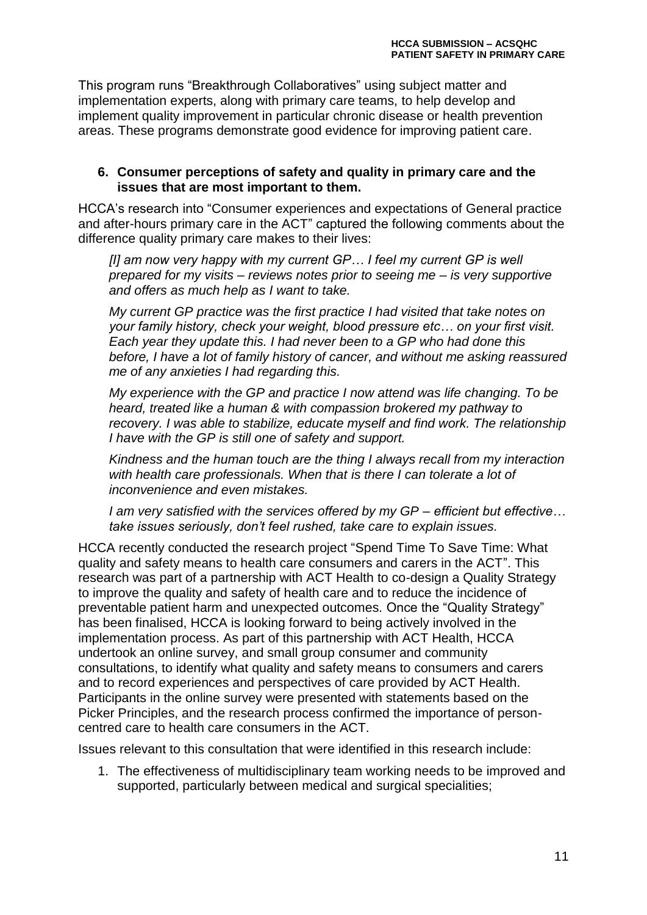This program runs "Breakthrough Collaboratives" using subject matter and implementation experts, along with primary care teams, to help develop and implement quality improvement in particular chronic disease or health prevention areas. These programs demonstrate good evidence for improving patient care.

#### **6. Consumer perceptions of safety and quality in primary care and the issues that are most important to them.**

HCCA's research into "Consumer experiences and expectations of General practice and after-hours primary care in the ACT" captured the following comments about the difference quality primary care makes to their lives:

*[I] am now very happy with my current GP… I feel my current GP is well prepared for my visits – reviews notes prior to seeing me – is very supportive and offers as much help as I want to take.*

*My current GP practice was the first practice I had visited that take notes on your family history, check your weight, blood pressure etc… on your first visit. Each year they update this. I had never been to a GP who had done this before, I have a lot of family history of cancer, and without me asking reassured me of any anxieties I had regarding this.*

*My experience with the GP and practice I now attend was life changing. To be heard, treated like a human & with compassion brokered my pathway to recovery. I was able to stabilize, educate myself and find work. The relationship I have with the GP is still one of safety and support.*

*Kindness and the human touch are the thing I always recall from my interaction with health care professionals. When that is there I can tolerate a lot of inconvenience and even mistakes.*

*I am very satisfied with the services offered by my GP – efficient but effective… take issues seriously, don't feel rushed, take care to explain issues.*

HCCA recently conducted the research project "Spend Time To Save Time: What quality and safety means to health care consumers and carers in the ACT". This research was part of a partnership with ACT Health to co-design a Quality Strategy to improve the quality and safety of health care and to reduce the incidence of preventable patient harm and unexpected outcomes. Once the "Quality Strategy" has been finalised, HCCA is looking forward to being actively involved in the implementation process. As part of this partnership with ACT Health, HCCA undertook an online survey, and small group consumer and community consultations, to identify what quality and safety means to consumers and carers and to record experiences and perspectives of care provided by ACT Health. Participants in the online survey were presented with statements based on the Picker Principles, and the research process confirmed the importance of personcentred care to health care consumers in the ACT.

Issues relevant to this consultation that were identified in this research include:

1. The effectiveness of multidisciplinary team working needs to be improved and supported, particularly between medical and surgical specialities;